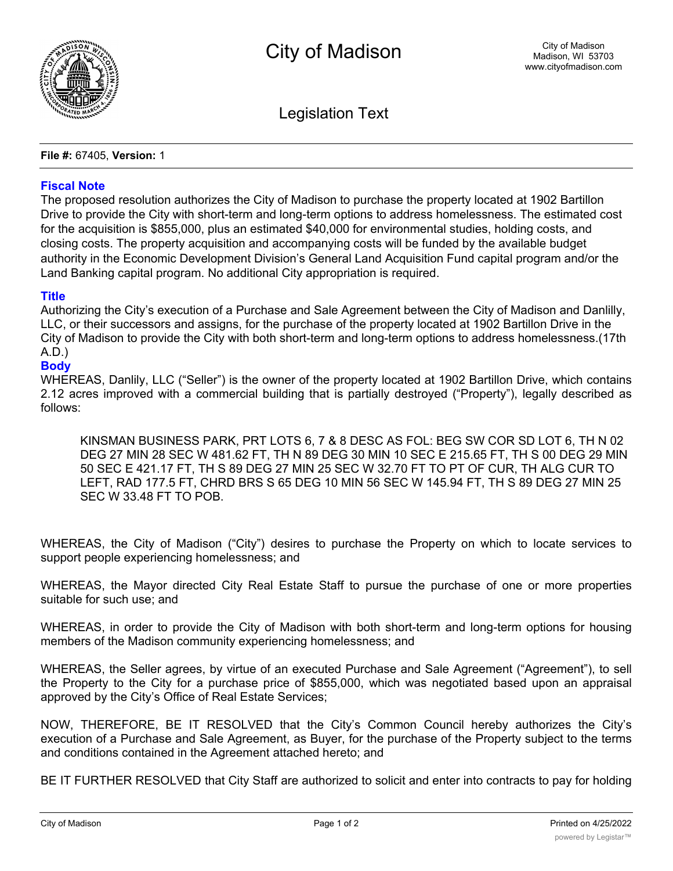

Legislation Text

**File #:** 67405, **Version:** 1

## **Fiscal Note**

The proposed resolution authorizes the City of Madison to purchase the property located at 1902 Bartillon Drive to provide the City with short-term and long-term options to address homelessness. The estimated cost for the acquisition is \$855,000, plus an estimated \$40,000 for environmental studies, holding costs, and closing costs. The property acquisition and accompanying costs will be funded by the available budget authority in the Economic Development Division's General Land Acquisition Fund capital program and/or the Land Banking capital program. No additional City appropriation is required.

## **Title**

Authorizing the City's execution of a Purchase and Sale Agreement between the City of Madison and Danlilly, LLC, or their successors and assigns, for the purchase of the property located at 1902 Bartillon Drive in the City of Madison to provide the City with both short-term and long-term options to address homelessness.(17th A.D.)

## **Body**

WHEREAS, Danlily, LLC ("Seller") is the owner of the property located at 1902 Bartillon Drive, which contains 2.12 acres improved with a commercial building that is partially destroyed ("Property"), legally described as follows:

KINSMAN BUSINESS PARK, PRT LOTS 6, 7 & 8 DESC AS FOL: BEG SW COR SD LOT 6, TH N 02 DEG 27 MIN 28 SEC W 481.62 FT, TH N 89 DEG 30 MIN 10 SEC E 215.65 FT, TH S 00 DEG 29 MIN 50 SEC E 421.17 FT, TH S 89 DEG 27 MIN 25 SEC W 32.70 FT TO PT OF CUR, TH ALG CUR TO LEFT, RAD 177.5 FT, CHRD BRS S 65 DEG 10 MIN 56 SEC W 145.94 FT, TH S 89 DEG 27 MIN 25 SEC W 33.48 FT TO POB.

WHEREAS, the City of Madison ("City") desires to purchase the Property on which to locate services to support people experiencing homelessness; and

WHEREAS, the Mayor directed City Real Estate Staff to pursue the purchase of one or more properties suitable for such use; and

WHEREAS, in order to provide the City of Madison with both short-term and long-term options for housing members of the Madison community experiencing homelessness; and

WHEREAS, the Seller agrees, by virtue of an executed Purchase and Sale Agreement ("Agreement"), to sell the Property to the City for a purchase price of \$855,000, which was negotiated based upon an appraisal approved by the City's Office of Real Estate Services;

NOW, THEREFORE, BE IT RESOLVED that the City's Common Council hereby authorizes the City's execution of a Purchase and Sale Agreement, as Buyer, for the purchase of the Property subject to the terms and conditions contained in the Agreement attached hereto; and

BE IT FURTHER RESOLVED that City Staff are authorized to solicit and enter into contracts to pay for holding